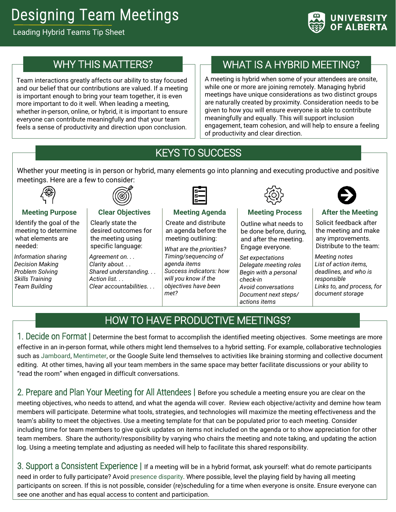# Designing Team Meetings

Leading Hybrid Teams Tip Sheet



## WHY THIS MATTERS?

Team interactions greatly affects our ability to stay focused and our belief that our contributions are valued. If a meeting is important enough to bring your team together, it is even more important to do it well. When leading a meeting, whether in-person, online, or hybrid, it is important to ensure everyone can contribute meaningfully and that your team feels a sense of productivity and direction upon conclusion.

## WHAT IS A HYBRID MEETING?

A meeting is hybrid when some of your attendees are onsite, while one or more are joining remotely. Managing hybrid meetings have unique considerations as two distinct groups are naturally created by proximity. Consideration needs to be given to how you will ensure everyone is able to contribute meaningfully and equally. This will support inclusion engagement, team cohesion, and will help to ensure a feeling of productivity and clear direction.

## KEYS TO SUCCESS

Ī

Whether your meeting is in person or hybrid, many elements go into planning and executing productive and positive meetings. Here are a few to consider:



#### **Meeting Purpose**

Identify the goal of the meeting to determine what elements are needed:

*Information sharing Decision Making Problem Solving Skills Training Team Building*



#### **Clear Objectives** Clearly state the desired outcomes for the meeting using specific language:

*Agreement on. . . Clarity about. . . Shared understanding. . . Action list. . . Clear accountabilities. . .*



## **Meeting Agenda**

Create and distribute an agenda before the meeting outlining:

*What are the priorities? Timing/sequencing of agenda items Success indicators: how will you know if the objectives have been met?*



#### **Meeting Process**

Outline what needs to be done before, during, and after the meeting. Engage everyone.

*Set expectations Delegate meeting roles Begin with a personal check-in Avoid conversations Document next steps/ actions items*



#### **After the Meeting**

Solicit feedback after the meeting and make any improvements. Distribute to the team:

*Meeting notes List of action items, deadlines, and who is responsible Links to, and process, for document storage*

## HOW TO HAVE PRODUCTIVE MEETINGS?

1. Decide on Format **|** Determine the best format to accomplish the identified meeting objectives. Some meetings are more effective in an in-person format, while others might lend themselves to a hybrid setting. For example, collaborative technologies such a[s Jamboard,](https://www.youtube.com/watch?v=-RaT2sHL4aw) [Mentimeter,](https://www.youtube.com/watch?v=TDUgx2AhfCs) or the Google Suite lend themselves to activities like braining storming and collective document editing. At other times, having all your team members in the same space may better facilitate discussions or your ability to "read the room" when engaged in difficult conversations.

2. Prepare and Plan Your Meeting for All Attendees **|** Before you schedule a meeting ensure you are clear on the meeting objectives, who needs to attend, and what the agenda will cover. Review each objective/activity and demine how team members will participate. Determine what tools, strategies, and technologies will maximize the meeting effectiveness and the team's ability to meet the objectives. Use a meeting template for that can be populated prior to each meeting. Consider including time for team members to give quick updates on items not included on the agenda or to show appreciation for other team members. Share the authority/responsibility by varying who chairs the meeting and note taking, and updating the action log. Using a meeting template and adjusting as needed will help to facilitate this shared responsibility.

3. Support a Consistent Experience **|** If a meeting will be in a hybrid format, ask yourself: what do remote participants need in order to fully participate? Avoid [presence disparity.](https://www.linkedin.com/pulse/how-presence-disparity-prevents-collaboration-what-you-may-chang/) Where possible, level the playing field by having all meeting participants on screen. If this is not possible, consider (re)scheduling for a time when everyone is onsite. Ensure everyone can see one another and has equal access to content and participation.